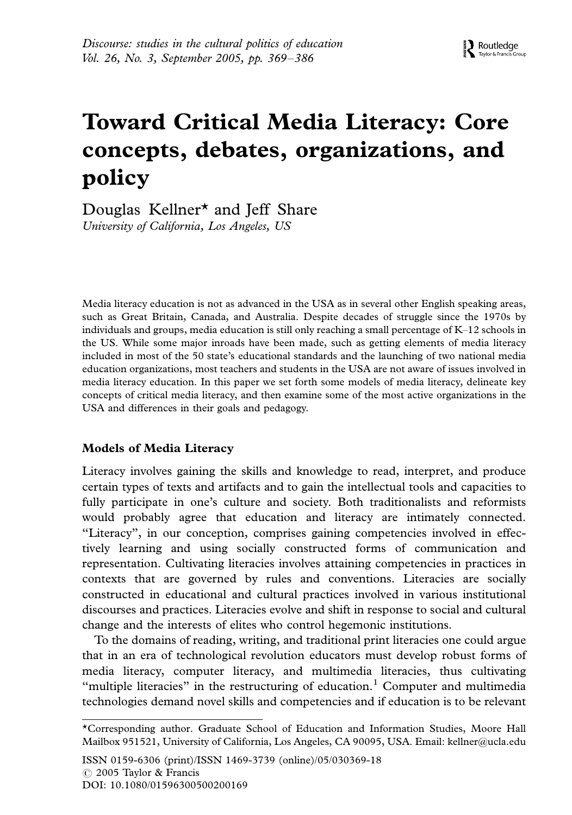# Toward Critical Media Literacy: Core concepts, debates, organizations, and policy

Douglas Kellner\* and Jeff Share University of California, Los Angeles, US

Media literacy education is not as advanced in the USA as in several other English speaking areas, such as Great Britain, Canada, and Australia. Despite decades of struggle since the 1970s by individuals and groups, media education is still only reaching a small percentage of  $K-12$  schools in the US. While some major inroads have been made, such as getting elements of media literacy included in most of the 50 state's educational standards and the launching of two national media education organizations, most teachers and students in the USA are not aware of issues involved in media literacy education. In this paper we set forth some models of media literacy, delineate key concepts of critical media literacy, and then examine some of the most active organizations in the USA and differences in their goals and pedagogy.

# Models of Media Literacy

Literacy involves gaining the skills and knowledge to read, interpret, and produce certain types of texts and artifacts and to gain the intellectual tools and capacities to fully participate in one's culture and society. Both traditionalists and reformists would probably agree that education and literacy are intimately connected. ''Literacy'', in our conception, comprises gaining competencies involved in effectively learning and using socially constructed forms of communication and representation. Cultivating literacies involves attaining competencies in practices in contexts that are governed by rules and conventions. Literacies are socially constructed in educational and cultural practices involved in various institutional discourses and practices. Literacies evolve and shift in response to social and cultural change and the interests of elites who control hegemonic institutions.

To the domains of reading, writing, and traditional print literacies one could argue that in an era of technological revolution educators must develop robust forms of media literacy, computer literacy, and multimedia literacies, thus cultivating "multiple literacies" in the restructuring of education.<sup>1</sup> Computer and multimedia technologies demand novel skills and competencies and if education is to be relevant

<sup>\*</sup>Corresponding author. Graduate School of Education and Information Studies, Moore Hall Mailbox 951521, University of California, Los Angeles, CA 90095, USA. Email: kellner@ucla.edu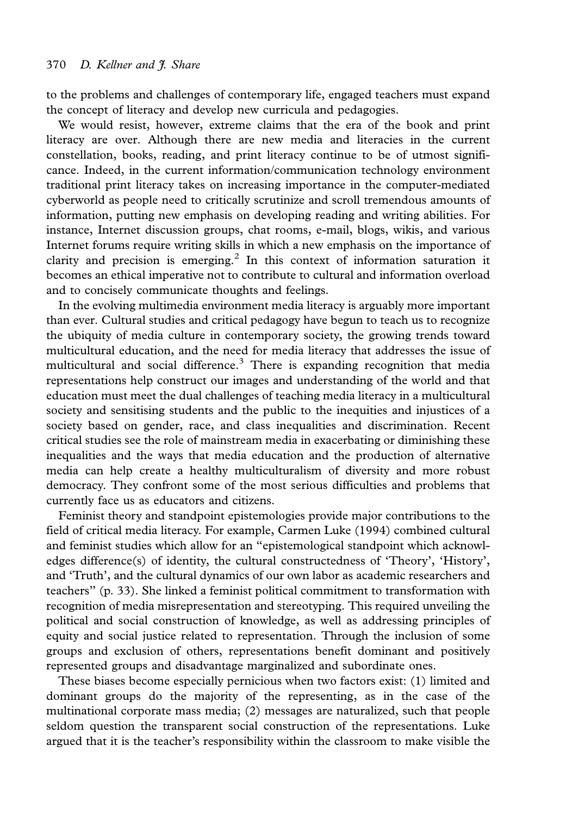to the problems and challenges of contemporary life, engaged teachers must expand the concept of literacy and develop new curricula and pedagogies.

We would resist, however, extreme claims that the era of the book and print literacy are over. Although there are new media and literacies in the current constellation, books, reading, and print literacy continue to be of utmost significance. Indeed, in the current information/communication technology environment traditional print literacy takes on increasing importance in the computer-mediated cyberworld as people need to critically scrutinize and scroll tremendous amounts of information, putting new emphasis on developing reading and writing abilities. For instance, Internet discussion groups, chat rooms, e-mail, blogs, wikis, and various Internet forums require writing skills in which a new emphasis on the importance of clarity and precision is emerging.<sup>2</sup> In this context of information saturation it becomes an ethical imperative not to contribute to cultural and information overload and to concisely communicate thoughts and feelings.

In the evolving multimedia environment media literacy is arguably more important than ever. Cultural studies and critical pedagogy have begun to teach us to recognize the ubiquity of media culture in contemporary society, the growing trends toward multicultural education, and the need for media literacy that addresses the issue of multicultural and social difference.<sup>3</sup> There is expanding recognition that media representations help construct our images and understanding of the world and that education must meet the dual challenges of teaching media literacy in a multicultural society and sensitising students and the public to the inequities and injustices of a society based on gender, race, and class inequalities and discrimination. Recent critical studies see the role of mainstream media in exacerbating or diminishing these inequalities and the ways that media education and the production of alternative media can help create a healthy multiculturalism of diversity and more robust democracy. They confront some of the most serious difficulties and problems that currently face us as educators and citizens.

Feminist theory and standpoint epistemologies provide major contributions to the field of critical media literacy. For example, Carmen Luke (1994) combined cultural and feminist studies which allow for an ''epistemological standpoint which acknowledges difference(s) of identity, the cultural constructedness of 'Theory', 'History', and 'Truth', and the cultural dynamics of our own labor as academic researchers and teachers'' (p. 33). She linked a feminist political commitment to transformation with recognition of media misrepresentation and stereotyping. This required unveiling the political and social construction of knowledge, as well as addressing principles of equity and social justice related to representation. Through the inclusion of some groups and exclusion of others, representations benefit dominant and positively represented groups and disadvantage marginalized and subordinate ones.

These biases become especially pernicious when two factors exist: (1) limited and dominant groups do the majority of the representing, as in the case of the multinational corporate mass media; (2) messages are naturalized, such that people seldom question the transparent social construction of the representations. Luke argued that it is the teacher's responsibility within the classroom to make visible the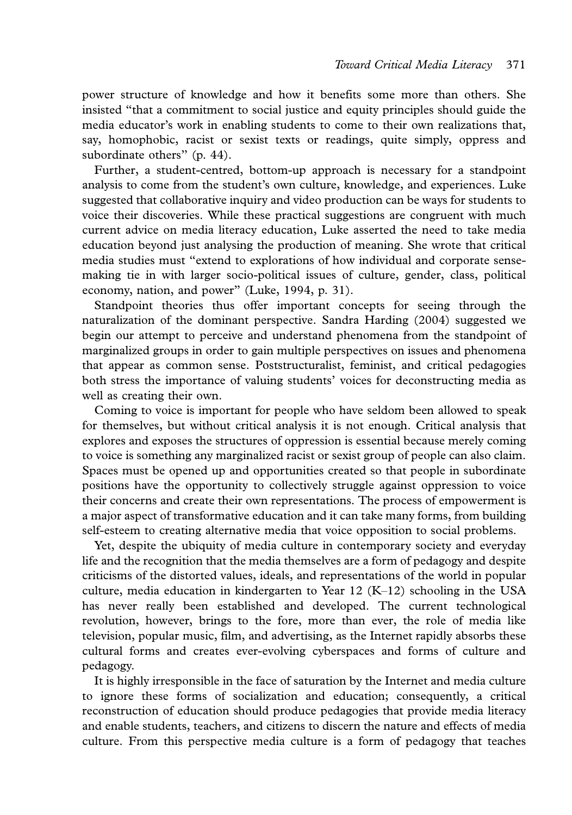power structure of knowledge and how it benefits some more than others. She insisted ''that a commitment to social justice and equity principles should guide the media educator's work in enabling students to come to their own realizations that, say, homophobic, racist or sexist texts or readings, quite simply, oppress and subordinate others" (p. 44).

Further, a student-centred, bottom-up approach is necessary for a standpoint analysis to come from the student's own culture, knowledge, and experiences. Luke suggested that collaborative inquiry and video production can be ways for students to voice their discoveries. While these practical suggestions are congruent with much current advice on media literacy education, Luke asserted the need to take media education beyond just analysing the production of meaning. She wrote that critical media studies must ''extend to explorations of how individual and corporate sensemaking tie in with larger socio-political issues of culture, gender, class, political economy, nation, and power'' (Luke, 1994, p. 31).

Standpoint theories thus offer important concepts for seeing through the naturalization of the dominant perspective. Sandra Harding (2004) suggested we begin our attempt to perceive and understand phenomena from the standpoint of marginalized groups in order to gain multiple perspectives on issues and phenomena that appear as common sense. Poststructuralist, feminist, and critical pedagogies both stress the importance of valuing students' voices for deconstructing media as well as creating their own.

Coming to voice is important for people who have seldom been allowed to speak for themselves, but without critical analysis it is not enough. Critical analysis that explores and exposes the structures of oppression is essential because merely coming to voice is something any marginalized racist or sexist group of people can also claim. Spaces must be opened up and opportunities created so that people in subordinate positions have the opportunity to collectively struggle against oppression to voice their concerns and create their own representations. The process of empowerment is a major aspect of transformative education and it can take many forms, from building self-esteem to creating alternative media that voice opposition to social problems.

Yet, despite the ubiquity of media culture in contemporary society and everyday life and the recognition that the media themselves are a form of pedagogy and despite criticisms of the distorted values, ideals, and representations of the world in popular culture, media education in kindergarten to Year  $12$  (K-12) schooling in the USA has never really been established and developed. The current technological revolution, however, brings to the fore, more than ever, the role of media like television, popular music, film, and advertising, as the Internet rapidly absorbs these cultural forms and creates ever-evolving cyberspaces and forms of culture and pedagogy.

It is highly irresponsible in the face of saturation by the Internet and media culture to ignore these forms of socialization and education; consequently, a critical reconstruction of education should produce pedagogies that provide media literacy and enable students, teachers, and citizens to discern the nature and effects of media culture. From this perspective media culture is a form of pedagogy that teaches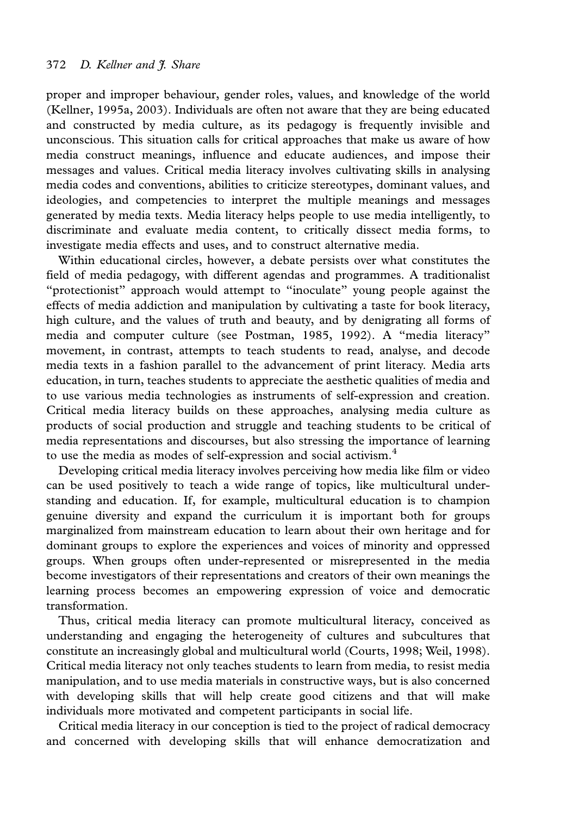proper and improper behaviour, gender roles, values, and knowledge of the world (Kellner, 1995a, 2003). Individuals are often not aware that they are being educated and constructed by media culture, as its pedagogy is frequently invisible and unconscious. This situation calls for critical approaches that make us aware of how media construct meanings, influence and educate audiences, and impose their messages and values. Critical media literacy involves cultivating skills in analysing media codes and conventions, abilities to criticize stereotypes, dominant values, and ideologies, and competencies to interpret the multiple meanings and messages generated by media texts. Media literacy helps people to use media intelligently, to discriminate and evaluate media content, to critically dissect media forms, to investigate media effects and uses, and to construct alternative media.

Within educational circles, however, a debate persists over what constitutes the field of media pedagogy, with different agendas and programmes. A traditionalist ''protectionist'' approach would attempt to ''inoculate'' young people against the effects of media addiction and manipulation by cultivating a taste for book literacy, high culture, and the values of truth and beauty, and by denigrating all forms of media and computer culture (see Postman, 1985, 1992). A ''media literacy'' movement, in contrast, attempts to teach students to read, analyse, and decode media texts in a fashion parallel to the advancement of print literacy. Media arts education, in turn, teaches students to appreciate the aesthetic qualities of media and to use various media technologies as instruments of self-expression and creation. Critical media literacy builds on these approaches, analysing media culture as products of social production and struggle and teaching students to be critical of media representations and discourses, but also stressing the importance of learning to use the media as modes of self-expression and social activism.<sup>4</sup>

Developing critical media literacy involves perceiving how media like film or video can be used positively to teach a wide range of topics, like multicultural understanding and education. If, for example, multicultural education is to champion genuine diversity and expand the curriculum it is important both for groups marginalized from mainstream education to learn about their own heritage and for dominant groups to explore the experiences and voices of minority and oppressed groups. When groups often under-represented or misrepresented in the media become investigators of their representations and creators of their own meanings the learning process becomes an empowering expression of voice and democratic transformation.

Thus, critical media literacy can promote multicultural literacy, conceived as understanding and engaging the heterogeneity of cultures and subcultures that constitute an increasingly global and multicultural world (Courts, 1998; Weil, 1998). Critical media literacy not only teaches students to learn from media, to resist media manipulation, and to use media materials in constructive ways, but is also concerned with developing skills that will help create good citizens and that will make individuals more motivated and competent participants in social life.

Critical media literacy in our conception is tied to the project of radical democracy and concerned with developing skills that will enhance democratization and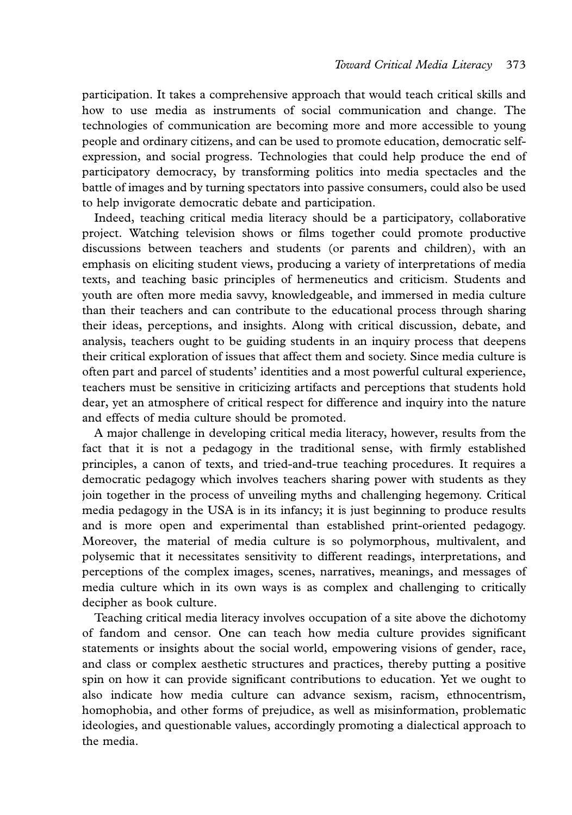participation. It takes a comprehensive approach that would teach critical skills and how to use media as instruments of social communication and change. The technologies of communication are becoming more and more accessible to young people and ordinary citizens, and can be used to promote education, democratic selfexpression, and social progress. Technologies that could help produce the end of participatory democracy, by transforming politics into media spectacles and the battle of images and by turning spectators into passive consumers, could also be used to help invigorate democratic debate and participation.

Indeed, teaching critical media literacy should be a participatory, collaborative project. Watching television shows or films together could promote productive discussions between teachers and students (or parents and children), with an emphasis on eliciting student views, producing a variety of interpretations of media texts, and teaching basic principles of hermeneutics and criticism. Students and youth are often more media savvy, knowledgeable, and immersed in media culture than their teachers and can contribute to the educational process through sharing their ideas, perceptions, and insights. Along with critical discussion, debate, and analysis, teachers ought to be guiding students in an inquiry process that deepens their critical exploration of issues that affect them and society. Since media culture is often part and parcel of students' identities and a most powerful cultural experience, teachers must be sensitive in criticizing artifacts and perceptions that students hold dear, yet an atmosphere of critical respect for difference and inquiry into the nature and effects of media culture should be promoted.

A major challenge in developing critical media literacy, however, results from the fact that it is not a pedagogy in the traditional sense, with firmly established principles, a canon of texts, and tried-and-true teaching procedures. It requires a democratic pedagogy which involves teachers sharing power with students as they join together in the process of unveiling myths and challenging hegemony. Critical media pedagogy in the USA is in its infancy; it is just beginning to produce results and is more open and experimental than established print-oriented pedagogy. Moreover, the material of media culture is so polymorphous, multivalent, and polysemic that it necessitates sensitivity to different readings, interpretations, and perceptions of the complex images, scenes, narratives, meanings, and messages of media culture which in its own ways is as complex and challenging to critically decipher as book culture.

Teaching critical media literacy involves occupation of a site above the dichotomy of fandom and censor. One can teach how media culture provides significant statements or insights about the social world, empowering visions of gender, race, and class or complex aesthetic structures and practices, thereby putting a positive spin on how it can provide significant contributions to education. Yet we ought to also indicate how media culture can advance sexism, racism, ethnocentrism, homophobia, and other forms of prejudice, as well as misinformation, problematic ideologies, and questionable values, accordingly promoting a dialectical approach to the media.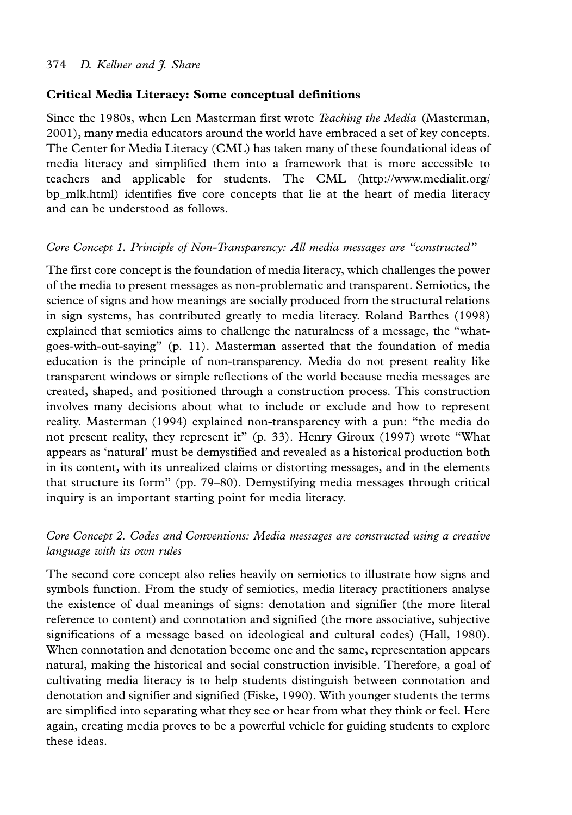## Critical Media Literacy: Some conceptual definitions

Since the 1980s, when Len Masterman first wrote Teaching the Media (Masterman, 2001), many media educators around the world have embraced a set of key concepts. The Center for Media Literacy (CML) has taken many of these foundational ideas of media literacy and simplified them into a framework that is more accessible to teachers and applicable for students. The CML (http://www.medialit.org/ bp\_mlk.html) identifies five core concepts that lie at the heart of media literacy and can be understood as follows.

# Core Concept 1. Principle of Non-Transparency: All media messages are ''constructed''

The first core concept is the foundation of media literacy, which challenges the power of the media to present messages as non-problematic and transparent. Semiotics, the science of signs and how meanings are socially produced from the structural relations in sign systems, has contributed greatly to media literacy. Roland Barthes (1998) explained that semiotics aims to challenge the naturalness of a message, the ''whatgoes-with-out-saying'' (p. 11). Masterman asserted that the foundation of media education is the principle of non-transparency. Media do not present reality like transparent windows or simple reflections of the world because media messages are created, shaped, and positioned through a construction process. This construction involves many decisions about what to include or exclude and how to represent reality. Masterman (1994) explained non-transparency with a pun: ''the media do not present reality, they represent it'' (p. 33). Henry Giroux (1997) wrote ''What appears as 'natural' must be demystified and revealed as a historical production both in its content, with its unrealized claims or distorting messages, and in the elements that structure its form" (pp. 79–80). Demystifying media messages through critical inquiry is an important starting point for media literacy.

# Core Concept 2. Codes and Conventions: Media messages are constructed using a creative language with its own rules

The second core concept also relies heavily on semiotics to illustrate how signs and symbols function. From the study of semiotics, media literacy practitioners analyse the existence of dual meanings of signs: denotation and signifier (the more literal reference to content) and connotation and signified (the more associative, subjective significations of a message based on ideological and cultural codes) (Hall, 1980). When connotation and denotation become one and the same, representation appears natural, making the historical and social construction invisible. Therefore, a goal of cultivating media literacy is to help students distinguish between connotation and denotation and signifier and signified (Fiske, 1990). With younger students the terms are simplified into separating what they see or hear from what they think or feel. Here again, creating media proves to be a powerful vehicle for guiding students to explore these ideas.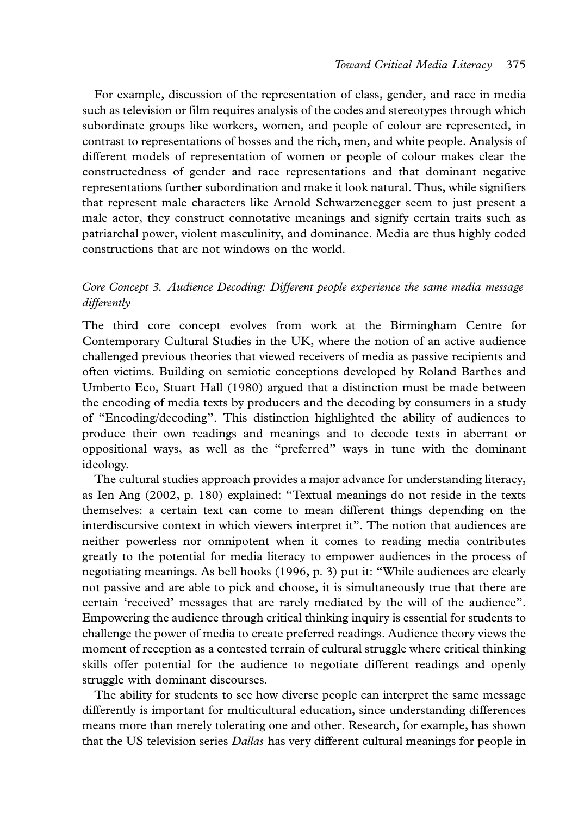For example, discussion of the representation of class, gender, and race in media such as television or film requires analysis of the codes and stereotypes through which subordinate groups like workers, women, and people of colour are represented, in contrast to representations of bosses and the rich, men, and white people. Analysis of different models of representation of women or people of colour makes clear the constructedness of gender and race representations and that dominant negative representations further subordination and make it look natural. Thus, while signifiers that represent male characters like Arnold Schwarzenegger seem to just present a male actor, they construct connotative meanings and signify certain traits such as patriarchal power, violent masculinity, and dominance. Media are thus highly coded constructions that are not windows on the world.

# Core Concept 3. Audience Decoding: Different people experience the same media message differently

The third core concept evolves from work at the Birmingham Centre for Contemporary Cultural Studies in the UK, where the notion of an active audience challenged previous theories that viewed receivers of media as passive recipients and often victims. Building on semiotic conceptions developed by Roland Barthes and Umberto Eco, Stuart Hall (1980) argued that a distinction must be made between the encoding of media texts by producers and the decoding by consumers in a study of ''Encoding/decoding''. This distinction highlighted the ability of audiences to produce their own readings and meanings and to decode texts in aberrant or oppositional ways, as well as the ''preferred'' ways in tune with the dominant ideology.

The cultural studies approach provides a major advance for understanding literacy, as Ien Ang (2002, p. 180) explained: ''Textual meanings do not reside in the texts themselves: a certain text can come to mean different things depending on the interdiscursive context in which viewers interpret it''. The notion that audiences are neither powerless nor omnipotent when it comes to reading media contributes greatly to the potential for media literacy to empower audiences in the process of negotiating meanings. As bell hooks (1996, p. 3) put it: ''While audiences are clearly not passive and are able to pick and choose, it is simultaneously true that there are certain 'received' messages that are rarely mediated by the will of the audience''. Empowering the audience through critical thinking inquiry is essential for students to challenge the power of media to create preferred readings. Audience theory views the moment of reception as a contested terrain of cultural struggle where critical thinking skills offer potential for the audience to negotiate different readings and openly struggle with dominant discourses.

The ability for students to see how diverse people can interpret the same message differently is important for multicultural education, since understanding differences means more than merely tolerating one and other. Research, for example, has shown that the US television series Dallas has very different cultural meanings for people in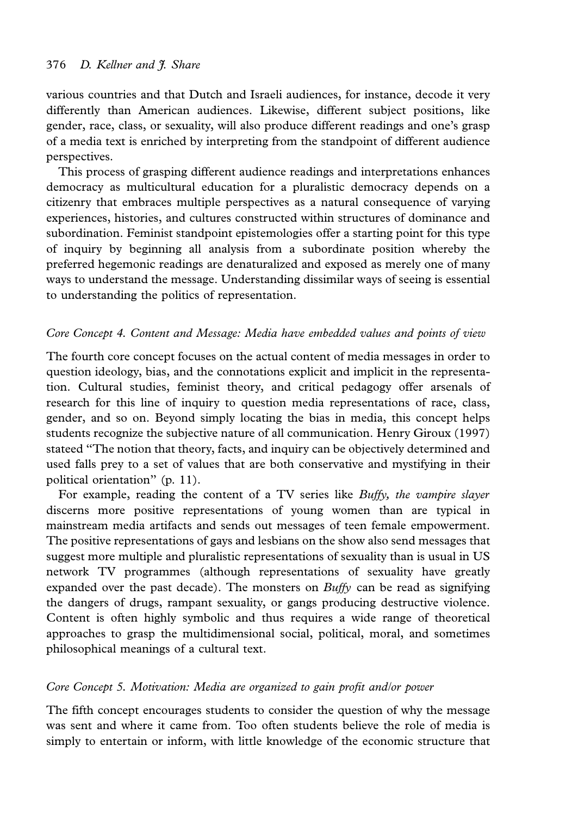## 376 D. Kellner and *H. Share*

various countries and that Dutch and Israeli audiences, for instance, decode it very differently than American audiences. Likewise, different subject positions, like gender, race, class, or sexuality, will also produce different readings and one's grasp of a media text is enriched by interpreting from the standpoint of different audience perspectives.

This process of grasping different audience readings and interpretations enhances democracy as multicultural education for a pluralistic democracy depends on a citizenry that embraces multiple perspectives as a natural consequence of varying experiences, histories, and cultures constructed within structures of dominance and subordination. Feminist standpoint epistemologies offer a starting point for this type of inquiry by beginning all analysis from a subordinate position whereby the preferred hegemonic readings are denaturalized and exposed as merely one of many ways to understand the message. Understanding dissimilar ways of seeing is essential to understanding the politics of representation.

## Core Concept 4. Content and Message: Media have embedded values and points of view

The fourth core concept focuses on the actual content of media messages in order to question ideology, bias, and the connotations explicit and implicit in the representation. Cultural studies, feminist theory, and critical pedagogy offer arsenals of research for this line of inquiry to question media representations of race, class, gender, and so on. Beyond simply locating the bias in media, this concept helps students recognize the subjective nature of all communication. Henry Giroux (1997) stateed ''The notion that theory, facts, and inquiry can be objectively determined and used falls prey to a set of values that are both conservative and mystifying in their political orientation'' (p. 11).

For example, reading the content of a TV series like Buffy, the vampire slayer discerns more positive representations of young women than are typical in mainstream media artifacts and sends out messages of teen female empowerment. The positive representations of gays and lesbians on the show also send messages that suggest more multiple and pluralistic representations of sexuality than is usual in US network TV programmes (although representations of sexuality have greatly expanded over the past decade). The monsters on  $\frac{Buffer}{sqrt}$  can be read as signifying the dangers of drugs, rampant sexuality, or gangs producing destructive violence. Content is often highly symbolic and thus requires a wide range of theoretical approaches to grasp the multidimensional social, political, moral, and sometimes philosophical meanings of a cultural text.

## Core Concept 5. Motivation: Media are organized to gain profit and/or power

The fifth concept encourages students to consider the question of why the message was sent and where it came from. Too often students believe the role of media is simply to entertain or inform, with little knowledge of the economic structure that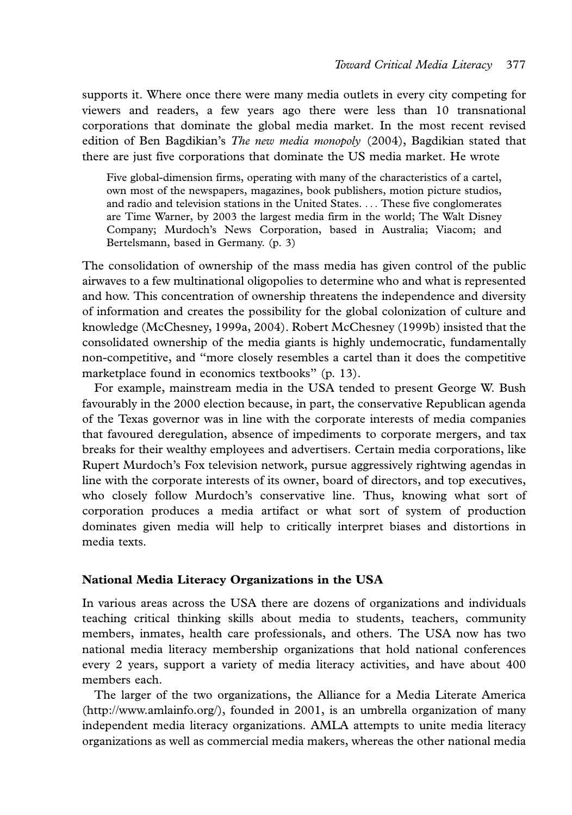supports it. Where once there were many media outlets in every city competing for viewers and readers, a few years ago there were less than 10 transnational corporations that dominate the global media market. In the most recent revised edition of Ben Bagdikian's *The new media monopoly* (2004), Bagdikian stated that there are just five corporations that dominate the US media market. He wrote

Five global-dimension firms, operating with many of the characteristics of a cartel, own most of the newspapers, magazines, book publishers, motion picture studios, and radio and television stations in the United States. ... These five conglomerates are Time Warner, by 2003 the largest media firm in the world; The Walt Disney Company; Murdoch's News Corporation, based in Australia; Viacom; and Bertelsmann, based in Germany. (p. 3)

The consolidation of ownership of the mass media has given control of the public airwaves to a few multinational oligopolies to determine who and what is represented and how. This concentration of ownership threatens the independence and diversity of information and creates the possibility for the global colonization of culture and knowledge (McChesney, 1999a, 2004). Robert McChesney (1999b) insisted that the consolidated ownership of the media giants is highly undemocratic, fundamentally non-competitive, and ''more closely resembles a cartel than it does the competitive marketplace found in economics textbooks" (p. 13).

For example, mainstream media in the USA tended to present George W. Bush favourably in the 2000 election because, in part, the conservative Republican agenda of the Texas governor was in line with the corporate interests of media companies that favoured deregulation, absence of impediments to corporate mergers, and tax breaks for their wealthy employees and advertisers. Certain media corporations, like Rupert Murdoch's Fox television network, pursue aggressively rightwing agendas in line with the corporate interests of its owner, board of directors, and top executives, who closely follow Murdoch's conservative line. Thus, knowing what sort of corporation produces a media artifact or what sort of system of production dominates given media will help to critically interpret biases and distortions in media texts.

## National Media Literacy Organizations in the USA

In various areas across the USA there are dozens of organizations and individuals teaching critical thinking skills about media to students, teachers, community members, inmates, health care professionals, and others. The USA now has two national media literacy membership organizations that hold national conferences every 2 years, support a variety of media literacy activities, and have about 400 members each.

The larger of the two organizations, the Alliance for a Media Literate America (http://www.amlainfo.org/), founded in 2001, is an umbrella organization of many independent media literacy organizations. AMLA attempts to unite media literacy organizations as well as commercial media makers, whereas the other national media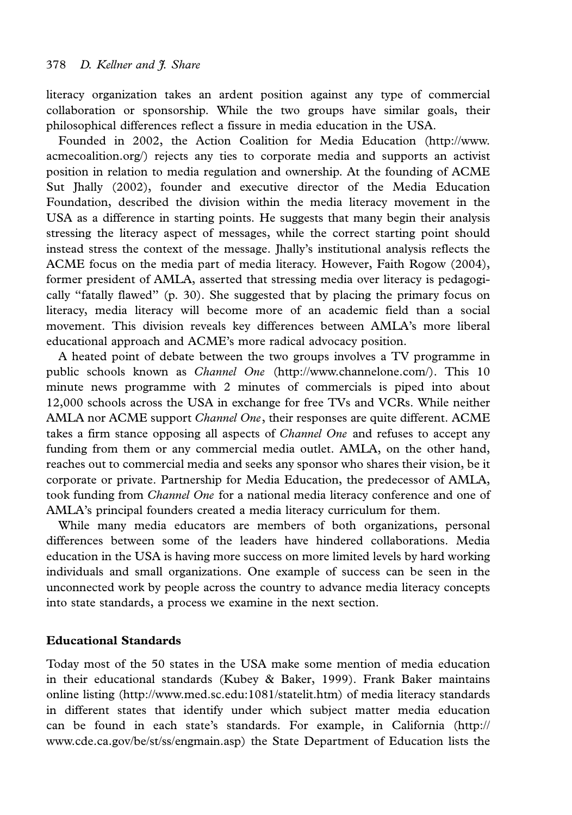literacy organization takes an ardent position against any type of commercial collaboration or sponsorship. While the two groups have similar goals, their philosophical differences reflect a fissure in media education in the USA.

Founded in 2002, the Action Coalition for Media Education (http://www. acmecoalition.org/) rejects any ties to corporate media and supports an activist position in relation to media regulation and ownership. At the founding of ACME Sut Jhally (2002), founder and executive director of the Media Education Foundation, described the division within the media literacy movement in the USA as a difference in starting points. He suggests that many begin their analysis stressing the literacy aspect of messages, while the correct starting point should instead stress the context of the message. Jhally's institutional analysis reflects the ACME focus on the media part of media literacy. However, Faith Rogow (2004), former president of AMLA, asserted that stressing media over literacy is pedagogically ''fatally flawed'' (p. 30). She suggested that by placing the primary focus on literacy, media literacy will become more of an academic field than a social movement. This division reveals key differences between AMLA's more liberal educational approach and ACME's more radical advocacy position.

A heated point of debate between the two groups involves a TV programme in public schools known as Channel One (http://www.channelone.com/). This 10 minute news programme with 2 minutes of commercials is piped into about 12,000 schools across the USA in exchange for free TVs and VCRs. While neither AMLA nor ACME support *Channel One*, their responses are quite different. ACME takes a firm stance opposing all aspects of Channel One and refuses to accept any funding from them or any commercial media outlet. AMLA, on the other hand, reaches out to commercial media and seeks any sponsor who shares their vision, be it corporate or private. Partnership for Media Education, the predecessor of AMLA, took funding from Channel One for a national media literacy conference and one of AMLA's principal founders created a media literacy curriculum for them.

While many media educators are members of both organizations, personal differences between some of the leaders have hindered collaborations. Media education in the USA is having more success on more limited levels by hard working individuals and small organizations. One example of success can be seen in the unconnected work by people across the country to advance media literacy concepts into state standards, a process we examine in the next section.

## Educational Standards

Today most of the 50 states in the USA make some mention of media education in their educational standards (Kubey & Baker, 1999). Frank Baker maintains online listing (http://www.med.sc.edu:1081/statelit.htm) of media literacy standards in different states that identify under which subject matter media education can be found in each state's standards. For example, in California (http:// www.cde.ca.gov/be/st/ss/engmain.asp) the State Department of Education lists the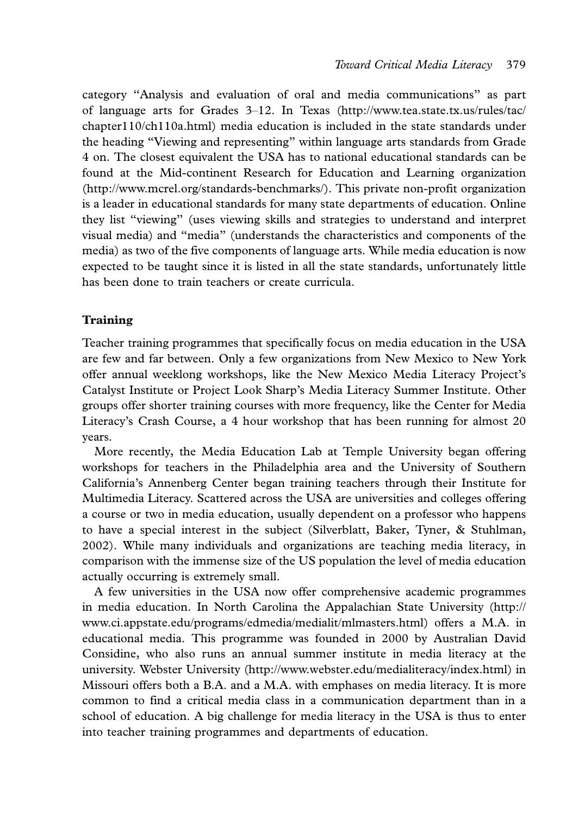category ''Analysis and evaluation of oral and media communications'' as part of language arts for Grades 3/12. In Texas (http://www.tea.state.tx.us/rules/tac/ chapter110/ch110a.html) media education is included in the state standards under the heading ''Viewing and representing'' within language arts standards from Grade 4 on. The closest equivalent the USA has to national educational standards can be found at the Mid-continent Research for Education and Learning organization (http://www.mcrel.org/standards-benchmarks/). This private non-profit organization is a leader in educational standards for many state departments of education. Online they list ''viewing'' (uses viewing skills and strategies to understand and interpret visual media) and ''media'' (understands the characteristics and components of the media) as two of the five components of language arts. While media education is now expected to be taught since it is listed in all the state standards, unfortunately little has been done to train teachers or create curricula.

## Training

Teacher training programmes that specifically focus on media education in the USA are few and far between. Only a few organizations from New Mexico to New York offer annual weeklong workshops, like the New Mexico Media Literacy Project's Catalyst Institute or Project Look Sharp's Media Literacy Summer Institute. Other groups offer shorter training courses with more frequency, like the Center for Media Literacy's Crash Course, a 4 hour workshop that has been running for almost 20 years.

More recently, the Media Education Lab at Temple University began offering workshops for teachers in the Philadelphia area and the University of Southern California's Annenberg Center began training teachers through their Institute for Multimedia Literacy. Scattered across the USA are universities and colleges offering a course or two in media education, usually dependent on a professor who happens to have a special interest in the subject (Silverblatt, Baker, Tyner, & Stuhlman, 2002). While many individuals and organizations are teaching media literacy, in comparison with the immense size of the US population the level of media education actually occurring is extremely small.

A few universities in the USA now offer comprehensive academic programmes in media education. In North Carolina the Appalachian State University (http:// www.ci.appstate.edu/programs/edmedia/medialit/mlmasters.html) offers a M.A. in educational media. This programme was founded in 2000 by Australian David Considine, who also runs an annual summer institute in media literacy at the university. Webster University (http://www.webster.edu/medialiteracy/index.html) in Missouri offers both a B.A. and a M.A. with emphases on media literacy. It is more common to find a critical media class in a communication department than in a school of education. A big challenge for media literacy in the USA is thus to enter into teacher training programmes and departments of education.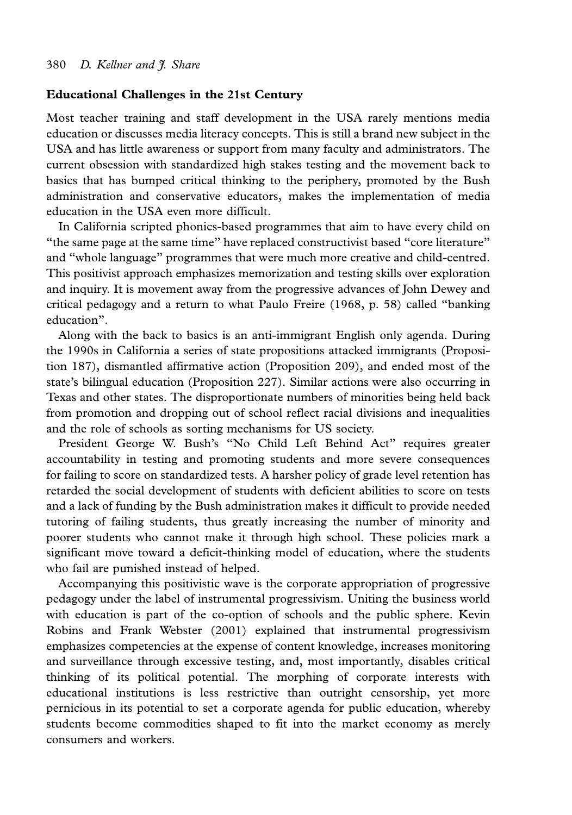#### Educational Challenges in the 21st Century

Most teacher training and staff development in the USA rarely mentions media education or discusses media literacy concepts. This is still a brand new subject in the USA and has little awareness or support from many faculty and administrators. The current obsession with standardized high stakes testing and the movement back to basics that has bumped critical thinking to the periphery, promoted by the Bush administration and conservative educators, makes the implementation of media education in the USA even more difficult.

In California scripted phonics-based programmes that aim to have every child on ''the same page at the same time'' have replaced constructivist based ''core literature'' and ''whole language'' programmes that were much more creative and child-centred. This positivist approach emphasizes memorization and testing skills over exploration and inquiry. It is movement away from the progressive advances of John Dewey and critical pedagogy and a return to what Paulo Freire (1968, p. 58) called ''banking education''.

Along with the back to basics is an anti-immigrant English only agenda. During the 1990s in California a series of state propositions attacked immigrants (Proposition 187), dismantled affirmative action (Proposition 209), and ended most of the state's bilingual education (Proposition 227). Similar actions were also occurring in Texas and other states. The disproportionate numbers of minorities being held back from promotion and dropping out of school reflect racial divisions and inequalities and the role of schools as sorting mechanisms for US society.

President George W. Bush's ''No Child Left Behind Act'' requires greater accountability in testing and promoting students and more severe consequences for failing to score on standardized tests. A harsher policy of grade level retention has retarded the social development of students with deficient abilities to score on tests and a lack of funding by the Bush administration makes it difficult to provide needed tutoring of failing students, thus greatly increasing the number of minority and poorer students who cannot make it through high school. These policies mark a significant move toward a deficit-thinking model of education, where the students who fail are punished instead of helped.

Accompanying this positivistic wave is the corporate appropriation of progressive pedagogy under the label of instrumental progressivism. Uniting the business world with education is part of the co-option of schools and the public sphere. Kevin Robins and Frank Webster (2001) explained that instrumental progressivism emphasizes competencies at the expense of content knowledge, increases monitoring and surveillance through excessive testing, and, most importantly, disables critical thinking of its political potential. The morphing of corporate interests with educational institutions is less restrictive than outright censorship, yet more pernicious in its potential to set a corporate agenda for public education, whereby students become commodities shaped to fit into the market economy as merely consumers and workers.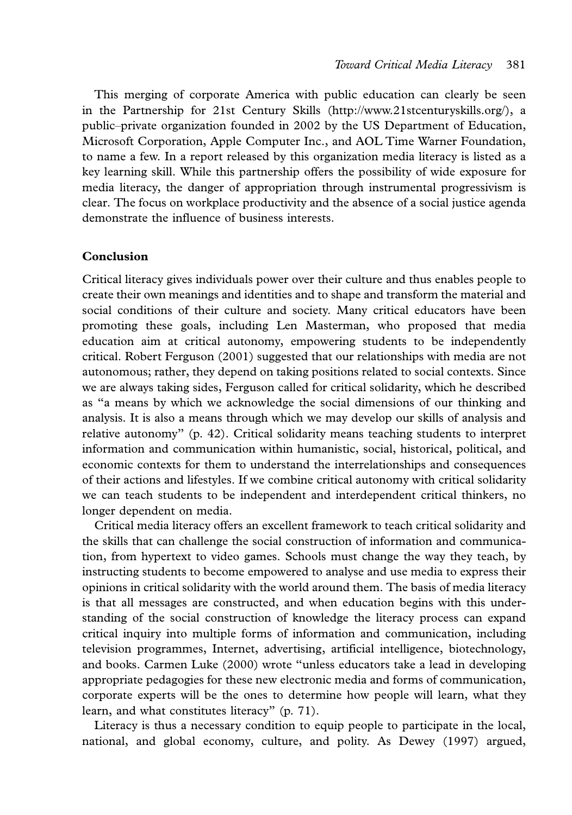This merging of corporate America with public education can clearly be seen in the Partnership for 21st Century Skills (http://www.21stcenturyskills.org/), a public/private organization founded in 2002 by the US Department of Education, Microsoft Corporation, Apple Computer Inc., and AOL Time Warner Foundation, to name a few. In a report released by this organization media literacy is listed as a key learning skill. While this partnership offers the possibility of wide exposure for media literacy, the danger of appropriation through instrumental progressivism is clear. The focus on workplace productivity and the absence of a social justice agenda demonstrate the influence of business interests.

## Conclusion

Critical literacy gives individuals power over their culture and thus enables people to create their own meanings and identities and to shape and transform the material and social conditions of their culture and society. Many critical educators have been promoting these goals, including Len Masterman, who proposed that media education aim at critical autonomy, empowering students to be independently critical. Robert Ferguson (2001) suggested that our relationships with media are not autonomous; rather, they depend on taking positions related to social contexts. Since we are always taking sides, Ferguson called for critical solidarity, which he described as ''a means by which we acknowledge the social dimensions of our thinking and analysis. It is also a means through which we may develop our skills of analysis and relative autonomy'' (p. 42). Critical solidarity means teaching students to interpret information and communication within humanistic, social, historical, political, and economic contexts for them to understand the interrelationships and consequences of their actions and lifestyles. If we combine critical autonomy with critical solidarity we can teach students to be independent and interdependent critical thinkers, no longer dependent on media.

Critical media literacy offers an excellent framework to teach critical solidarity and the skills that can challenge the social construction of information and communication, from hypertext to video games. Schools must change the way they teach, by instructing students to become empowered to analyse and use media to express their opinions in critical solidarity with the world around them. The basis of media literacy is that all messages are constructed, and when education begins with this understanding of the social construction of knowledge the literacy process can expand critical inquiry into multiple forms of information and communication, including television programmes, Internet, advertising, artificial intelligence, biotechnology, and books. Carmen Luke (2000) wrote ''unless educators take a lead in developing appropriate pedagogies for these new electronic media and forms of communication, corporate experts will be the ones to determine how people will learn, what they learn, and what constitutes literacy'' (p. 71).

Literacy is thus a necessary condition to equip people to participate in the local, national, and global economy, culture, and polity. As Dewey (1997) argued,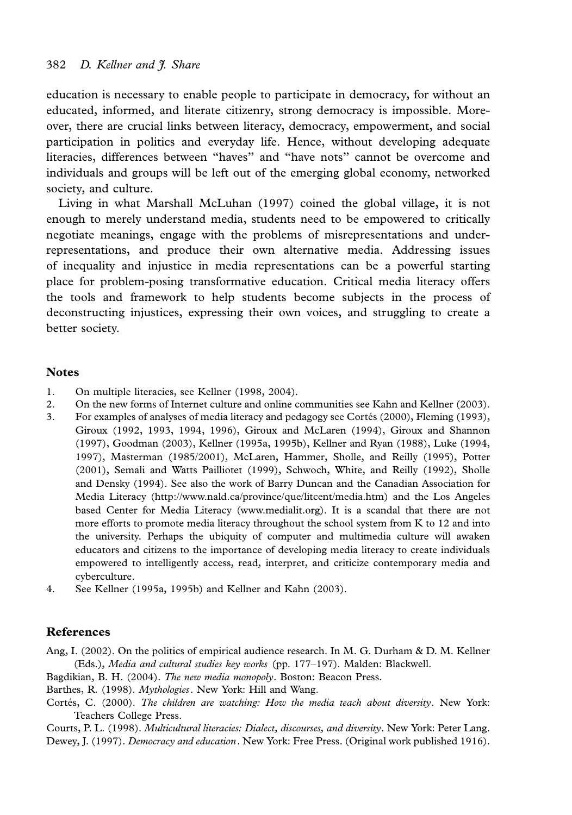education is necessary to enable people to participate in democracy, for without an educated, informed, and literate citizenry, strong democracy is impossible. Moreover, there are crucial links between literacy, democracy, empowerment, and social participation in politics and everyday life. Hence, without developing adequate literacies, differences between ''haves'' and ''have nots'' cannot be overcome and individuals and groups will be left out of the emerging global economy, networked society, and culture.

Living in what Marshall McLuhan (1997) coined the global village, it is not enough to merely understand media, students need to be empowered to critically negotiate meanings, engage with the problems of misrepresentations and underrepresentations, and produce their own alternative media. Addressing issues of inequality and injustice in media representations can be a powerful starting place for problem-posing transformative education. Critical media literacy offers the tools and framework to help students become subjects in the process of deconstructing injustices, expressing their own voices, and struggling to create a better society.

## **Notes**

- 1. On multiple literacies, see Kellner (1998, 2004).
- 2. On the new forms of Internet culture and online communities see Kahn and Kellner (2003).
- 3. For examples of analyses of media literacy and pedagogy see Cortés (2000), Fleming (1993), Giroux (1992, 1993, 1994, 1996), Giroux and McLaren (1994), Giroux and Shannon (1997), Goodman (2003), Kellner (1995a, 1995b), Kellner and Ryan (1988), Luke (1994, 1997), Masterman (1985/2001), McLaren, Hammer, Sholle, and Reilly (1995), Potter (2001), Semali and Watts Pailliotet (1999), Schwoch, White, and Reilly (1992), Sholle and Densky (1994). See also the work of Barry Duncan and the Canadian Association for Media Literacy (http://www.nald.ca/province/que/litcent/media.htm) and the Los Angeles based Center for Media Literacy (www.medialit.org). It is a scandal that there are not more efforts to promote media literacy throughout the school system from K to 12 and into the university. Perhaps the ubiquity of computer and multimedia culture will awaken educators and citizens to the importance of developing media literacy to create individuals empowered to intelligently access, read, interpret, and criticize contemporary media and cyberculture.
- 4. See Kellner (1995a, 1995b) and Kellner and Kahn (2003).

#### References

Ang, I. (2002). On the politics of empirical audience research. In M. G. Durham & D. M. Kellner (Eds.), Media and cultural studies key works (pp. 177-197). Malden: Blackwell.

Bagdikian, B. H. (2004). The new media monopoly. Boston: Beacon Press.

Barthes, R. (1998). Mythologies. New York: Hill and Wang.

Cortés, C. (2000). The children are watching: How the media teach about diversity. New York: Teachers College Press.

Courts, P. L. (1998). Multicultural literacies: Dialect, discourses, and diversity. New York: Peter Lang. Dewey, J. (1997). Democracy and education. New York: Free Press. (Original work published 1916).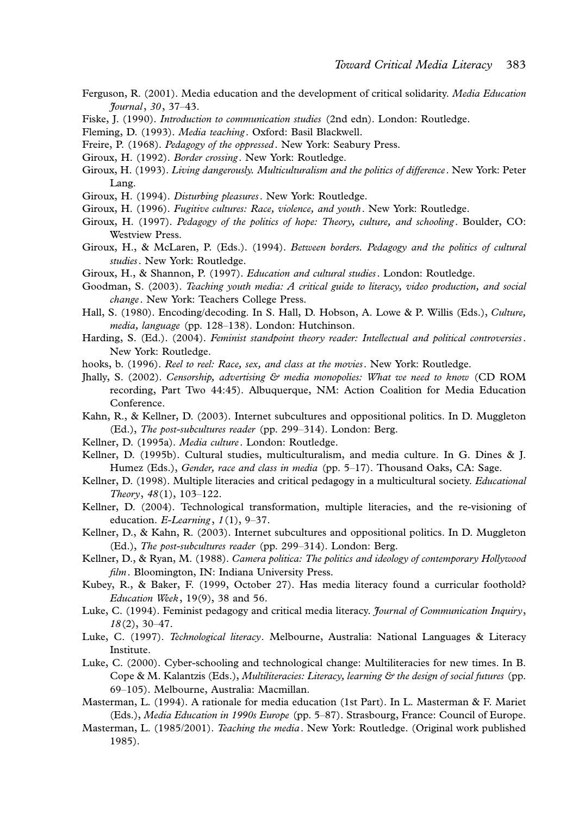- Ferguson, R. (2001). Media education and the development of critical solidarity. Media Education *Journal*, 30, 37-43.
- Fiske, J. (1990). Introduction to communication studies (2nd edn). London: Routledge.
- Fleming, D. (1993). Media teaching . Oxford: Basil Blackwell.
- Freire, P. (1968). Pedagogy of the oppressed. New York: Seabury Press.
- Giroux, H. (1992). Border crossing . New York: Routledge.
- Giroux, H. (1993). Living dangerously. Multiculturalism and the politics of difference. New York: Peter Lang.
- Giroux, H. (1994). Disturbing pleasures. New York: Routledge.
- Giroux, H. (1996). Fugitive cultures: Race, violence, and youth. New York: Routledge.
- Giroux, H. (1997). Pedagogy of the politics of hope: Theory, culture, and schooling. Boulder, CO: Westview Press.
- Giroux, H., & McLaren, P. (Eds.). (1994). Between borders. Pedagogy and the politics of cultural studies. New York: Routledge.
- Giroux, H., & Shannon, P. (1997). Education and cultural studies. London: Routledge.
- Goodman, S. (2003). Teaching youth media: A critical guide to literacy, video production, and social change. New York: Teachers College Press.
- Hall, S. (1980). Encoding/decoding. In S. Hall, D. Hobson, A. Lowe & P. Willis (Eds.), Culture, media, language (pp. 128–138). London: Hutchinson.
- Harding, S. (Ed.). (2004). Feminist standpoint theory reader: Intellectual and political controversies. New York: Routledge.
- hooks, b. (1996). Reel to reel: Race, sex, and class at the movies. New York: Routledge.
- Jhally, S. (2002). Censorship, advertising & media monopolies: What we need to know (CD ROM recording, Part Two 44:45). Albuquerque, NM: Action Coalition for Media Education Conference.
- Kahn, R., & Kellner, D. (2003). Internet subcultures and oppositional politics. In D. Muggleton (Ed.), *The post-subcultures reader* (pp. 299–314). London: Berg.
- Kellner, D. (1995a). Media culture. London: Routledge.
- Kellner, D. (1995b). Cultural studies, multiculturalism, and media culture. In G. Dines & J. Humez (Eds.), Gender, race and class in media (pp. 5-17). Thousand Oaks, CA: Sage.
- Kellner, D. (1998). Multiple literacies and critical pedagogy in a multicultural society. *Educational* Theory,  $48(1)$ ,  $103-122$ .
- Kellner, D. (2004). Technological transformation, multiple literacies, and the re-visioning of education.  $E$ -Learning,  $1(1)$ , 9-37.
- Kellner, D., & Kahn, R. (2003). Internet subcultures and oppositional politics. In D. Muggleton (Ed.), *The post-subcultures reader* (pp. 299–314). London: Berg.
- Kellner, D., & Ryan, M. (1988). Camera politica: The politics and ideology of contemporary Hollywood film. Bloomington, IN: Indiana University Press.
- Kubey, R., & Baker, F. (1999, October 27). Has media literacy found a curricular foothold? Education Week, 19(9), 38 and 56.
- Luke, C. (1994). Feminist pedagogy and critical media literacy. *Journal of Communication Inquiry*,  $18(2)$ ,  $30-47$ .
- Luke, C. (1997). Technological literacy. Melbourne, Australia: National Languages & Literacy Institute.
- Luke, C. (2000). Cyber-schooling and technological change: Multiliteracies for new times. In B. Cope & M. Kalantzis (Eds.), Multiliteracies: Literacy, learning  $\mathcal C$  the design of social futures (pp. 69-105). Melbourne, Australia: Macmillan.
- Masterman, L. (1994). A rationale for media education (1st Part). In L. Masterman & F. Mariet (Eds.), Media Education in 1990s Europe (pp. 5-87). Strasbourg, France: Council of Europe.
- Masterman, L. (1985/2001). Teaching the media. New York: Routledge. (Original work published 1985).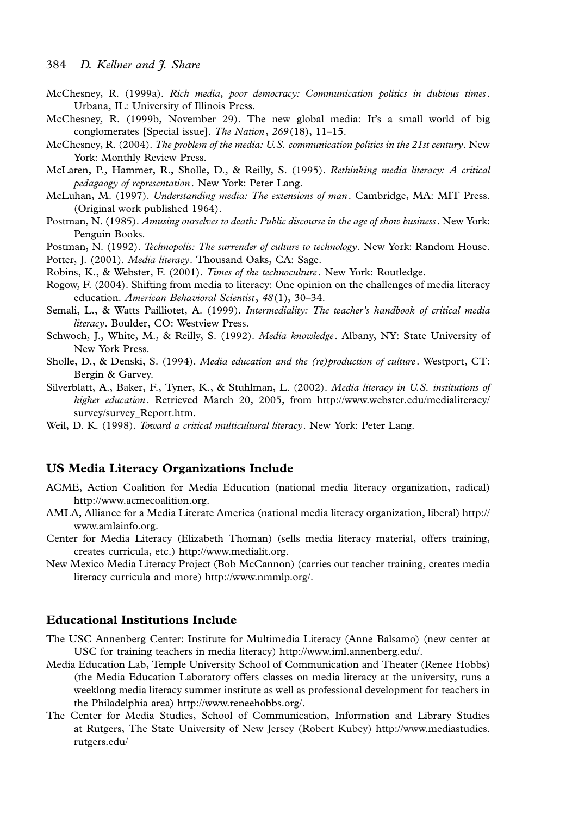- McChesney, R. (1999a). Rich media, poor democracy: Communication politics in dubious times. Urbana, IL: University of Illinois Press.
- McChesney, R. (1999b, November 29). The new global media: It's a small world of big conglomerates [Special issue]. The Nation,  $269(18)$ ,  $11-15$ .
- McChesney, R. (2004). The problem of the media: U.S. communication politics in the 21st century. New York: Monthly Review Press.
- McLaren, P., Hammer, R., Sholle, D., & Reilly, S. (1995). Rethinking media literacy: A critical pedagaogy of representation. New York: Peter Lang.
- McLuhan, M. (1997). Understanding media: The extensions of man. Cambridge, MA: MIT Press. (Original work published 1964).
- Postman, N. (1985). Amusing ourselves to death: Public discourse in the age of show business. New York: Penguin Books.

Postman, N. (1992). Technopolis: The surrender of culture to technology. New York: Random House.

Potter, J. (2001). Media literacy. Thousand Oaks, CA: Sage.

Robins, K., & Webster, F. (2001). Times of the technoculture. New York: Routledge.

- Rogow, F. (2004). Shifting from media to literacy: One opinion on the challenges of media literacy education. American Behavioral Scientist, 48(1), 30-34.
- Semali, L., & Watts Pailliotet, A. (1999). Intermediality: The teacher's handbook of critical media literacy. Boulder, CO: Westview Press.
- Schwoch, J., White, M., & Reilly, S. (1992). *Media knowledge*. Albany, NY: State University of New York Press.
- Sholle, D., & Denski, S. (1994). Media education and the (re)production of culture. Westport, CT: Bergin & Garvey.
- Silverblatt, A., Baker, F., Tyner, K., & Stuhlman, L. (2002). Media literacy in U.S. institutions of higher education. Retrieved March 20, 2005, from http://www.webster.edu/medialiteracy/ survey/survey\_Report.htm.

## US Media Literacy Organizations Include

- ACME, Action Coalition for Media Education (national media literacy organization, radical) http://www.acmecoalition.org.
- AMLA, Alliance for a Media Literate America (national media literacy organization, liberal) http:// www.amlainfo.org.
- Center for Media Literacy (Elizabeth Thoman) (sells media literacy material, offers training, creates curricula, etc.) http://www.medialit.org.
- New Mexico Media Literacy Project (Bob McCannon) (carries out teacher training, creates media literacy curricula and more) http://www.nmmlp.org/.

#### Educational Institutions Include

- The USC Annenberg Center: Institute for Multimedia Literacy (Anne Balsamo) (new center at USC for training teachers in media literacy) http://www.iml.annenberg.edu/.
- Media Education Lab, Temple University School of Communication and Theater (Renee Hobbs) (the Media Education Laboratory offers classes on media literacy at the university, runs a weeklong media literacy summer institute as well as professional development for teachers in the Philadelphia area) http://www.reneehobbs.org/.
- The Center for Media Studies, School of Communication, Information and Library Studies at Rutgers, The State University of New Jersey (Robert Kubey) http://www.mediastudies. rutgers.edu/

Weil, D. K. (1998). Toward a critical multicultural literacy. New York: Peter Lang.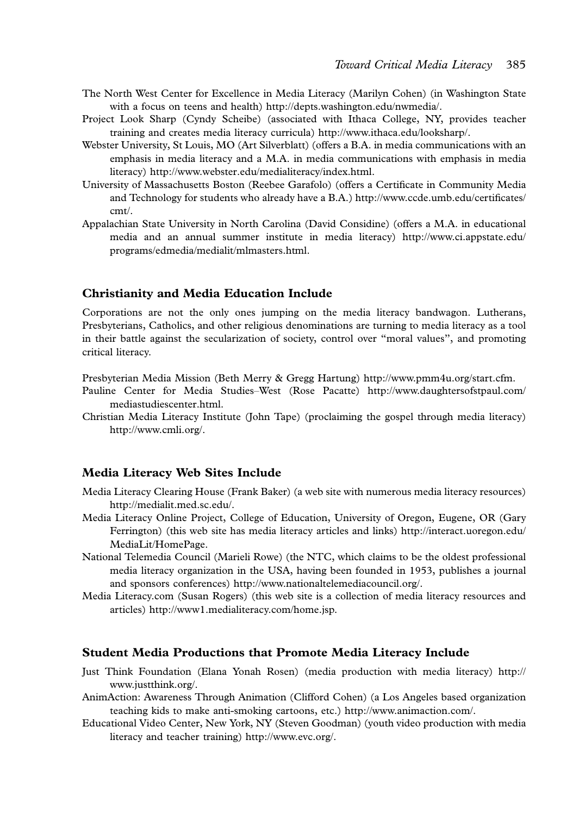- The North West Center for Excellence in Media Literacy (Marilyn Cohen) (in Washington State with a focus on teens and health) http://depts.washington.edu/nwmedia/.
- Project Look Sharp (Cyndy Scheibe) (associated with Ithaca College, NY, provides teacher training and creates media literacy curricula) http://www.ithaca.edu/looksharp/.
- Webster University, St Louis, MO (Art Silverblatt) (offers a B.A. in media communications with an emphasis in media literacy and a M.A. in media communications with emphasis in media literacy) http://www.webster.edu/medialiteracy/index.html.
- University of Massachusetts Boston (Reebee Garafolo) (offers a Certificate in Community Media and Technology for students who already have a B.A.) http://www.ccde.umb.edu/certificates/ cmt/.
- Appalachian State University in North Carolina (David Considine) (offers a M.A. in educational media and an annual summer institute in media literacy) http://www.ci.appstate.edu/ programs/edmedia/medialit/mlmasters.html.

#### Christianity and Media Education Include

Corporations are not the only ones jumping on the media literacy bandwagon. Lutherans, Presbyterians, Catholics, and other religious denominations are turning to media literacy as a tool in their battle against the secularization of society, control over ''moral values'', and promoting critical literacy.

Presbyterian Media Mission (Beth Merry & Gregg Hartung) http://www.pmm4u.org/start.cfm.

- Pauline Center for Media Studies-West (Rose Pacatte) http://www.daughtersofstpaul.com/ mediastudiescenter.html.
- Christian Media Literacy Institute (John Tape) (proclaiming the gospel through media literacy) http://www.cmli.org/.

#### Media Literacy Web Sites Include

- Media Literacy Clearing House (Frank Baker) (a web site with numerous media literacy resources) http://medialit.med.sc.edu/.
- Media Literacy Online Project, College of Education, University of Oregon, Eugene, OR (Gary Ferrington) (this web site has media literacy articles and links) http://interact.uoregon.edu/ MediaLit/HomePage.
- National Telemedia Council (Marieli Rowe) (the NTC, which claims to be the oldest professional media literacy organization in the USA, having been founded in 1953, publishes a journal and sponsors conferences) http://www.nationaltelemediacouncil.org/.
- Media Literacy.com (Susan Rogers) (this web site is a collection of media literacy resources and articles) http://www1.medialiteracy.com/home.jsp.

#### Student Media Productions that Promote Media Literacy Include

- Just Think Foundation (Elana Yonah Rosen) (media production with media literacy) http:// www.justthink.org/.
- AnimAction: Awareness Through Animation (Clifford Cohen) (a Los Angeles based organization teaching kids to make anti-smoking cartoons, etc.) http://www.animaction.com/.
- Educational Video Center, New York, NY (Steven Goodman) (youth video production with media literacy and teacher training) http://www.evc.org/.